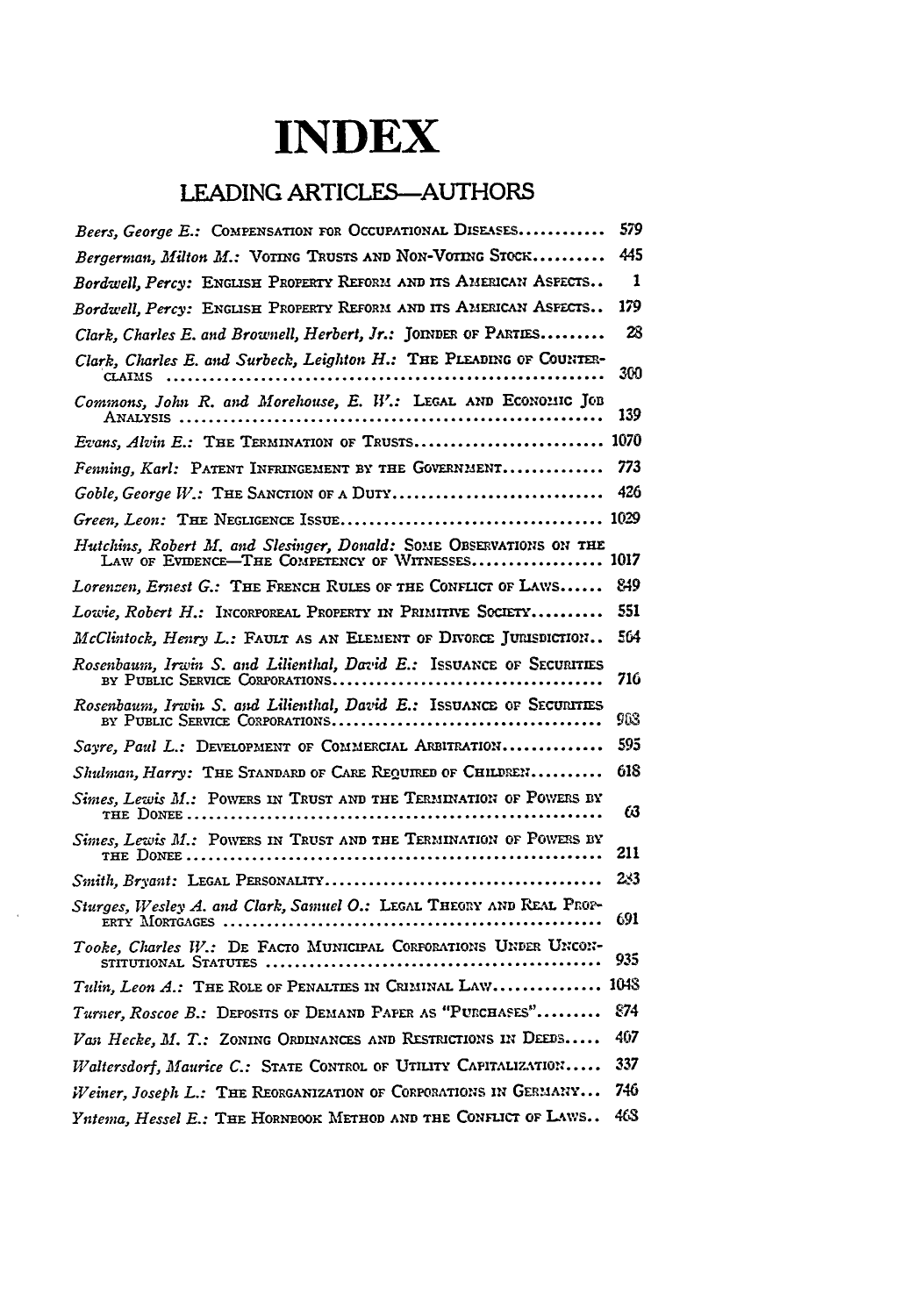## **INDEX**

## **LEADING ARTICLES-AUTHORS**

| Beers, George E.: COMPENSATION FOR OCCUPATIONAL DISEASES                                                             | 579  |
|----------------------------------------------------------------------------------------------------------------------|------|
| Bergerman, Milton M.: VOTING TRUSTS AND NON-VOTING STOCK                                                             | 445  |
| Bordwell, Percy: ENGLISH PROPERTY REFORM AND ITS AMERICAN ASPECTS                                                    | 1    |
| Bordwell, Percy: ENGLISH PROPERTY REFORM AND ITS AMERICAN ASPECTS                                                    | 179  |
| Clark, Charles E. and Brownell, Herbert, Jr.: JOINDER OF PARTIES                                                     | 28   |
| Clark, Charles E. and Surbeck, Leighton H.: THE PLEADING OF COUNTER-<br><b>CLAIMS</b>                                | 300  |
| Commons, John R. and Morehouse, E. W.: LEGAL AND ECONOMIC JOB                                                        | 139  |
| Evans, Alvin E.: THE TERMINATION OF TRUSTS                                                                           | 1070 |
| Fenning, Karl: PATENT INFRINGEMENT BY THE GOVERNMENT                                                                 | 773  |
| Goble, George W.: THE SANCTION OF A DUTY                                                                             | 426  |
|                                                                                                                      | 1029 |
| Hutchins, Robert M. and Slesinger, Donald: SOME OBSERVATIONS ON THE LAW OF EVIDENCE-THE COMPETENCY OF WITNESSES 1017 |      |
| Lorenzen, Ernest G.: THE FRENCH RULES OF THE CONFLICT OF LAWS                                                        | 849  |
| Lowie, Robert H.: INCORPOREAL PROPERTY IN PRIMITIVE SOCIETY                                                          | 551  |
| McClintock, Henry L.: FAULT AS AN ELEMENT OF DIVORCE JURISDICTION                                                    | 564  |
|                                                                                                                      | 716  |
| Rosenbaum, Irwin S. and Lilienthal, David E.: ISSUANCE OF SECURITIES                                                 | 903  |
| Sayre, Paul L.: DEVELOPMENT OF COMMERCIAL ARBITRATION                                                                | 595  |
| Shulman, Harry: THE STANDARD OF CARE REQUIRED OF CHILDREN                                                            | 618  |
| Simes, Lewis M.: POWERS IN TRUST AND THE TERMINATION OF POWERS BY                                                    | 63   |
|                                                                                                                      | 211  |
|                                                                                                                      | 23   |
| Sturges, Wesley A. and Clark, Samuel O.: LEGAL THEORY AND REAL PROP-                                                 | 691  |
| Tooke, Charles W.: DE FACTO MUNICIPAL CORPORATIONS UNDER UNCON-                                                      | 935  |
| Tulin, Leon A.: THE ROLE OF PENALTIES IN CRIMINAL LAW                                                                | 1048 |
| Turner, Roscoe B.: DEPOSITS OF DEMAND PAPER AS "PURCHASES"                                                           | 874  |
| Vasi Hecke, M. T.: ZONING ORDINANCES AND RESTRICTIONS IN DEEDS                                                       | 407  |
| Waltersdorf, Maurice C.: STATE CONTROL OF UTILITY CAPITALIZATION                                                     | 337  |
| Weiner, Joseph L.: THE REORGANIZATION OF CORPORATIONS IN GERMARY                                                     | 746  |
| Yntema, Hessel E.: THE HORNEOOK METHOD AND THE CONFLICT OF LAWS                                                      | 46S  |

 $\mathcal{A}$